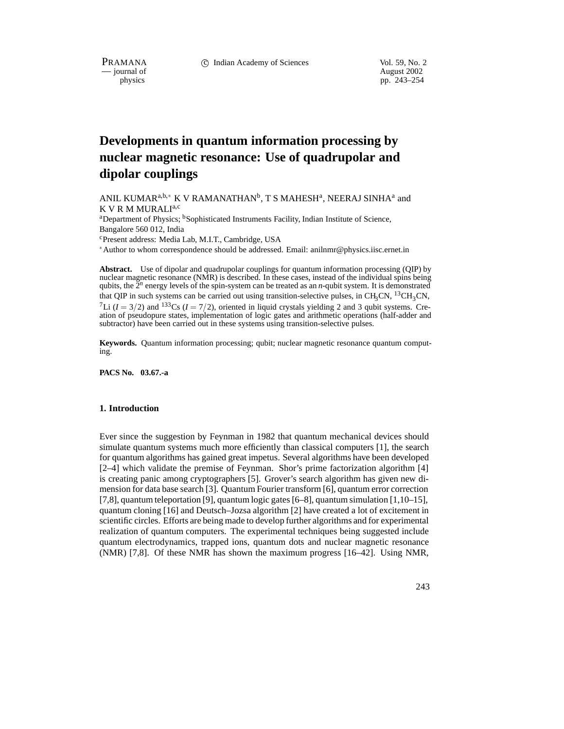PRAMANA 
<sup>C</sup> Indian Academy of Sciences 
<sup>Vol. 59, No. 2<br>
— journal of August 2002</sup>

position of the contract of the contract of the contract of the contract of the contract of the contract of the contract of the contract of the contract of the contract of the contract of the contract of the contract of th pp. 243–254

# **Developments in quantum information processing by nuclear magnetic resonance: Use of quadrupolar and dipolar couplings**

ANIL KUMAR $^{\mathrm{a},\mathrm{b},\ast}$  K V RAMANATHAN $^{\mathrm{b}},$  T S MAHESH $^{\mathrm{a}}$ , NEERAJ SINHA $^{\mathrm{a}}$  and K V R M MURALIa;<sup>c</sup>

<sup>a</sup>Department of Physics; <sup>b</sup>Sophisticated Instruments Facility, Indian Institute of Science, Bangalore 560 012, India

cPresent address: Media Lab, M.I.T., Cambridge, USA

Author to whom correspondence should be addressed. Email: anilnmr@physics.iisc.ernet.in

**Abstract.** Use of dipolar and quadrupolar couplings for quantum information processing (QIP) by nuclear magnetic resonance (NMR) is described. In these cases, instead of the individual spins being qubits, the 2*<sup>n</sup>* energy levels of the spin-system can be treated as an *n*-qubit system. It is demonstrated that QIP in such systems can be carried out using transition-selective pulses, in CH<sub>3</sub>CN, <sup>13</sup>CH<sub>3</sub>CN, <sup>7</sup>Li ( $I = 3/2$ ) and <sup>133</sup>Cs ( $I = 7/2$ ), oriented in liquid crystals yielding 2 and 3 qubit systems. Creation of pseudopure states, implementation of logic gates and arithmetic operations (half-adder and subtractor) have been carried out in these systems using transition-selective pulses.

**Keywords.** Quantum information processing; qubit; nuclear magnetic resonance quantum computing.

**PACS No. 03.67.-a**

### **1. Introduction**

Ever since the suggestion by Feynman in 1982 that quantum mechanical devices should simulate quantum systems much more efficiently than classical computers [1], the search for quantum algorithms has gained great impetus. Several algorithms have been developed [2–4] which validate the premise of Feynman. Shor's prime factorization algorithm [4] is creating panic among cryptographers [5]. Grover's search algorithm has given new dimension for data base search [3]. Quantum Fourier transform [6], quantum error correction [7,8], quantum teleportation [9], quantum logic gates [6–8], quantum simulation [1,10–15], quantum cloning [16] and Deutsch–Jozsa algorithm [2] have created a lot of excitement in scientific circles. Efforts are being made to develop further algorithms and for experimental realization of quantum computers. The experimental techniques being suggested include quantum electrodynamics, trapped ions, quantum dots and nuclear magnetic resonance (NMR) [7,8]. Of these NMR has shown the maximum progress [16–42]. Using NMR,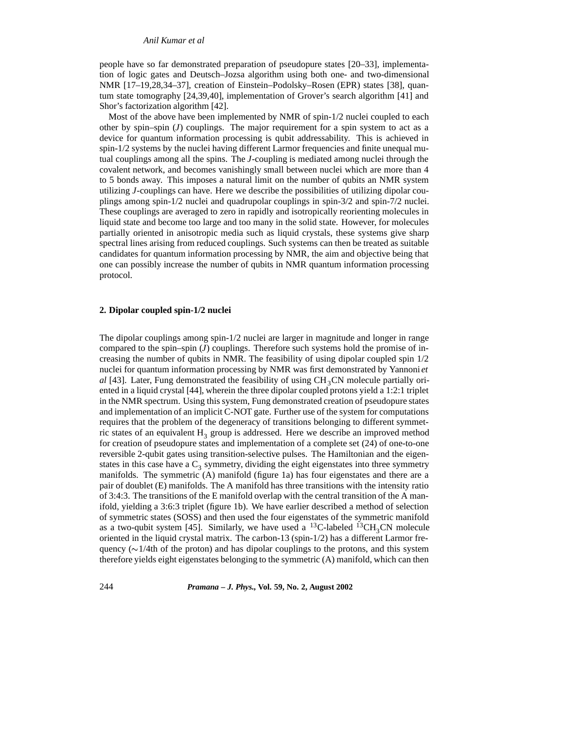### *Anil Kumar et al*

people have so far demonstrated preparation of pseudopure states [20–33], implementation of logic gates and Deutsch–Jozsa algorithm using both one- and two-dimensional NMR [17–19,28,34–37], creation of Einstein–Podolsky–Rosen (EPR) states [38], quantum state tomography [24,39,40], implementation of Grover's search algorithm [41] and Shor's factorization algorithm [42].

Most of the above have been implemented by NMR of spin-1/2 nuclei coupled to each other by spin–spin (*J*) couplings. The major requirement for a spin system to act as a device for quantum information processing is qubit addressability. This is achieved in spin-1/2 systems by the nuclei having different Larmor frequencies and finite unequal mutual couplings among all the spins. The *J*-coupling is mediated among nuclei through the covalent network, and becomes vanishingly small between nuclei which are more than 4 to 5 bonds away. This imposes a natural limit on the number of qubits an NMR system utilizing *J*-couplings can have. Here we describe the possibilities of utilizing dipolar couplings among spin-1/2 nuclei and quadrupolar couplings in spin-3/2 and spin-7/2 nuclei. These couplings are averaged to zero in rapidly and isotropically reorienting molecules in liquid state and become too large and too many in the solid state. However, for molecules partially oriented in anisotropic media such as liquid crystals, these systems give sharp spectral lines arising from reduced couplings. Such systems can then be treated as suitable candidates for quantum information processing by NMR, the aim and objective being that one can possibly increase the number of qubits in NMR quantum information processing protocol.

#### **2. Dipolar coupled spin-1/2 nuclei**

The dipolar couplings among spin-1/2 nuclei are larger in magnitude and longer in range compared to the spin–spin (*J*) couplings. Therefore such systems hold the promise of increasing the number of qubits in NMR. The feasibility of using dipolar coupled spin 1/2 nuclei for quantum information processing by NMR was first demonstrated by Yannoni *et*  $al$  [43]. Later, Fung demonstrated the feasibility of using  $CH<sub>3</sub>CN$  molecule partially oriented in a liquid crystal [44], wherein the three dipolar coupled protons yield a 1:2:1 triplet in the NMR spectrum. Using this system, Fung demonstrated creation of pseudopure states and implementation of an implicit C-NOT gate. Further use of the system for computations requires that the problem of the degeneracy of transitions belonging to different symmetric states of an equivalent  $H_3$  group is addressed. Here we describe an improved method for creation of pseudopure states and implementation of a complete set (24) of one-to-one reversible 2-qubit gates using transition-selective pulses. The Hamiltonian and the eigenstates in this case have a  $C_3$  symmetry, dividing the eight eigenstates into three symmetry manifolds. The symmetric (A) manifold (figure 1a) has four eigenstates and there are a pair of doublet (E) manifolds. The A manifold has three transitions with the intensity ratio of 3:4:3. The transitions of the E manifold overlap with the central transition of the A manifold, yielding a 3:6:3 triplet (figure 1b). We have earlier described a method of selection of symmetric states (SOSS) and then used the four eigenstates of the symmetric manifold as a two-qubit system [45]. Similarly, we have used a <sup>13</sup>C-labeled <sup>13</sup>CH<sub>3</sub>CN molecule oriented in the liquid crystal matrix. The carbon-13 (spin-1/2) has a different Larmor frequency ( $\sim$ 1/4th of the proton) and has dipolar couplings to the protons, and this system therefore yields eight eigenstates belonging to the symmetric (A) manifold, which can then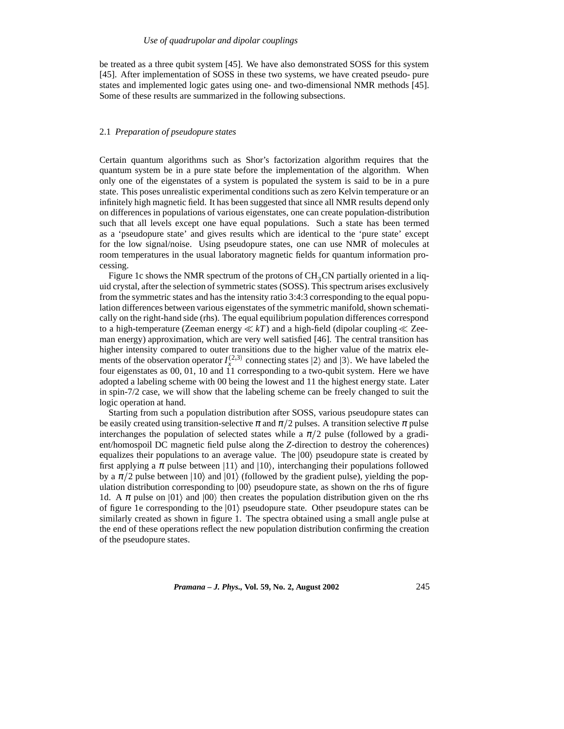be treated as a three qubit system [45]. We have also demonstrated SOSS for this system [45]. After implementation of SOSS in these two systems, we have created pseudo- pure states and implemented logic gates using one- and two-dimensional NMR methods [45]. Some of these results are summarized in the following subsections.

### 2.1 *Preparation of pseudopure states*

Certain quantum algorithms such as Shor's factorization algorithm requires that the quantum system be in a pure state before the implementation of the algorithm. When only one of the eigenstates of a system is populated the system is said to be in a pure state. This poses unrealistic experimental conditions such as zero Kelvin temperature or an infinitely high magnetic field. It has been suggested that since all NMR results depend only on differences in populations of various eigenstates, one can create population-distribution such that all levels except one have equal populations. Such a state has been termed as a 'pseudopure state' and gives results which are identical to the 'pure state' except for the low signal/noise. Using pseudopure states, one can use NMR of molecules at room temperatures in the usual laboratory magnetic fields for quantum information processing.

Figure 1c shows the NMR spectrum of the protons of  $CH<sub>3</sub>CN$  partially oriented in a liquid crystal, after the selection of symmetric states (SOSS). This spectrum arises exclusively from the symmetric states and has the intensity ratio 3:4:3 corresponding to the equal population differences between various eigenstates of the symmetric manifold, shown schematically on the right-hand side (rhs). The equal equilibrium population differences correspond to a high-temperature (Zeeman energy  $\ll kT$ ) and a high-field (dipolar coupling  $\ll$  Zeeman energy) approximation, which are very well satisfied [46]. The central transition has higher intensity compared to outer transitions due to the higher value of the matrix elements of the observation operator  $I_x^{(2,3)}$  connecting states  $|2\rangle$  and  $|3\rangle$ . We have labeled the four eigenstates as 00, 01, 10 and 11 corresponding to a two-qubit system. Here we have adopted a labeling scheme with 00 being the lowest and 11 the highest energy state. Later in spin-7/2 case, we will show that the labeling scheme can be freely changed to suit the logic operation at hand.

Starting from such a population distribution after SOSS, various pseudopure states can be easily created using transition-selective  $\pi$  and  $\pi/2$  pulses. A transition selective  $\pi$  pulse interchanges the population of selected states while a  $\pi/2$  pulse (followed by a gradient/homospoil DC magnetic field pulse along the *Z*-direction to destroy the coherences) equalizes their populations to an average value. The  $|00\rangle$  pseudopure state is created by first applying a  $\pi$  pulse between  $|11\rangle$  and  $|10\rangle$ , interchanging their populations followed by a  $\pi/2$  pulse between |10\ and |01\ (followed by the gradient pulse), yielding the population distribution corresponding to  $|00\rangle$  pseudopure state, as shown on the rhs of figure 1d. A  $\pi$  pulse on  $|01\rangle$  and  $|00\rangle$  then creates the population distribution given on the rhs of figure 1e corresponding to the  $|01\rangle$  pseudopure state. Other pseudopure states can be similarly created as shown in figure 1. The spectra obtained using a small angle pulse at the end of these operations reflect the new population distribution confirming the creation of the pseudopure states.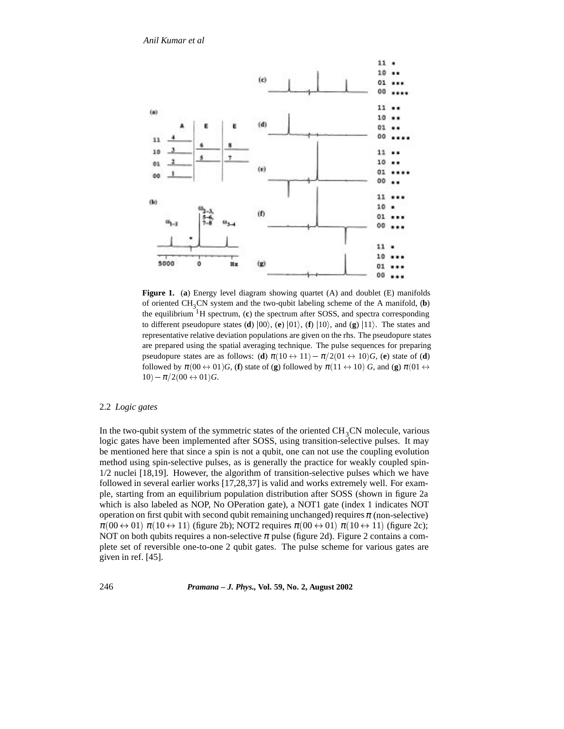

**Figure 1.** (**a**) Energy level diagram showing quartet (A) and doublet (E) manifolds of oriented  $CH_3CN$  system and the two-qubit labeling scheme of the A manifold,  $(b)$ the equilibrium 1H spectrum, (**c**) the spectrum after SOSS, and spectra corresponding to different pseudopure states (**d**)  $|00\rangle$ , (**e**)  $|01\rangle$ , (**f**)  $|10\rangle$ , and (**g**)  $|11\rangle$ . The states and representative relative deviation populations are given on the rhs. The pseudopure states are prepared using the spatial averaging technique. The pulse sequences for preparing pseudopure states are as follows: (**d**)  $\pi(10 \leftrightarrow 11) - \pi/2(01 \leftrightarrow 10)G$ , (**e**) state of (**d**) followed by  $\pi(00 \leftrightarrow 01)$ *G*, (**f**) state of (**g**) followed by  $\pi(11 \leftrightarrow 10)$  *G*, and (**g**)  $\pi(01 \leftrightarrow$  $10) - \pi/2(00 \leftrightarrow 01)G$ .

# 2.2 *Logic gates*

In the two-qubit system of the symmetric states of the oriented  $CH<sub>3</sub>CN$  molecule, various logic gates have been implemented after SOSS, using transition-selective pulses. It may be mentioned here that since a spin is not a qubit, one can not use the coupling evolution method using spin-selective pulses, as is generally the practice for weakly coupled spin-1/2 nuclei [18,19]. However, the algorithm of transition-selective pulses which we have followed in several earlier works [17,28,37] is valid and works extremely well. For example, starting from an equilibrium population distribution after SOSS (shown in figure 2a which is also labeled as NOP, No OPeration gate), a NOT1 gate (index 1 indicates NOT operation on first qubit with second qubit remaining unchanged) requires  $\pi$  (non-selective)  $\pi(00 \leftrightarrow 01)$   $\pi(10 \leftrightarrow 11)$  (figure 2b); NOT2 requires  $\pi(00 \leftrightarrow 01)$   $\pi(10 \leftrightarrow 11)$  (figure 2c); NOT on both qubits requires a non-selective  $\pi$  pulse (figure 2d). Figure 2 contains a complete set of reversible one-to-one 2 qubit gates. The pulse scheme for various gates are given in ref. [45].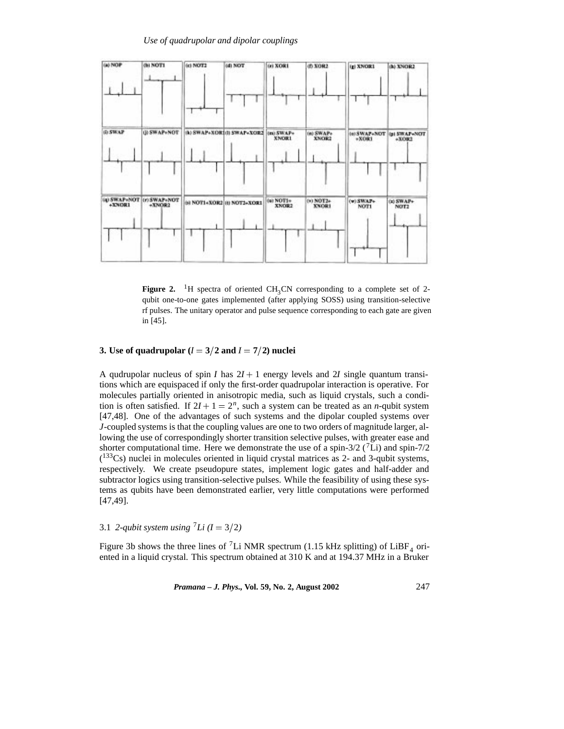

**Figure 2.** <sup>1</sup>H spectra of oriented CH<sub>3</sub>CN corresponding to a complete set of 2qubit one-to-one gates implemented (after applying SOSS) using transition-selective rf pulses. The unitary operator and pulse sequence corresponding to each gate are given in [45].

# **3.** Use of quadrupolar  $(I = 3/2$  and  $I = 7/2$ ) nuclei

A qudrupolar nucleus of spin *I* has  $2I + 1$  energy levels and 2*I* single quantum transitions which are equispaced if only the first-order quadrupolar interaction is operative. For molecules partially oriented in anisotropic media, such as liquid crystals, such a condition is often satisfied. If  $2I + 1 = 2<sup>n</sup>$ , such a system can be treated as an *n*-qubit system [47,48]. One of the advantages of such systems and the dipolar coupled systems over *J*-coupled systems is that the coupling values are one to two orders of magnitude larger, allowing the use of correspondingly shorter transition selective pulses, with greater ease and shorter computational time. Here we demonstrate the use of a spin-3/2  $(^7Li)$  and spin-7/2 ( 133Cs) nuclei in molecules oriented in liquid crystal matrices as 2- and 3-qubit systems, respectively. We create pseudopure states, implement logic gates and half-adder and subtractor logics using transition-selective pulses. While the feasibility of using these systems as qubits have been demonstrated earlier, very little computations were performed [47,49].

3.1 *2-qubit system using*  $^7Li$  ( $I = 3/2$ )

Figure 3b shows the three lines of <sup>7</sup>Li NMR spectrum (1.15 kHz splitting) of LiBF<sub>4</sub> oriented in a liquid crystal. This spectrum obtained at 310 K and at 194.37 MHz in a Bruker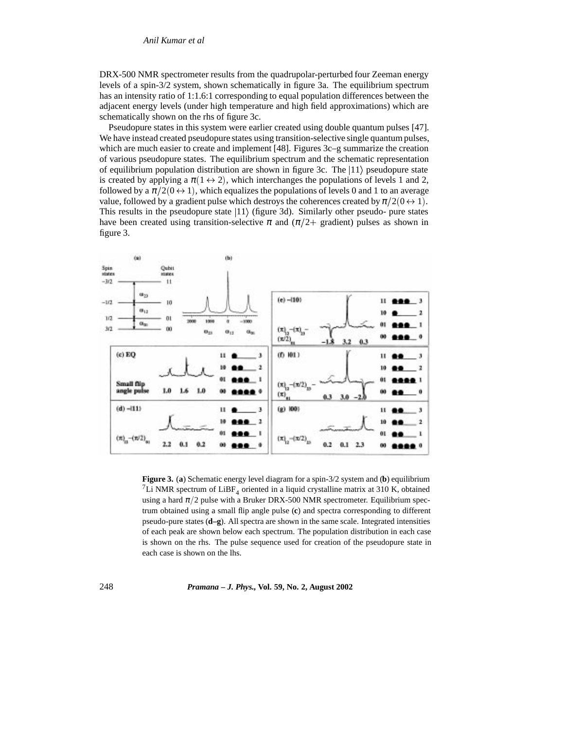DRX-500 NMR spectrometer results from the quadrupolar-perturbed four Zeeman energy levels of a spin-3/2 system, shown schematically in figure 3a. The equilibrium spectrum has an intensity ratio of 1:1.6:1 corresponding to equal population differences between the adjacent energy levels (under high temperature and high field approximations) which are schematically shown on the rhs of figure 3c.

Pseudopure states in this system were earlier created using double quantum pulses [47]. We have instead created pseudopure states using transition-selective single quantum pulses, which are much easier to create and implement [48]. Figures 3c–g summarize the creation of various pseudopure states. The equilibrium spectrum and the schematic representation of equilibrium population distribution are shown in figure 3c. The  $|11\rangle$  pseudopure state is created by applying a  $\pi(1 \leftrightarrow 2)$ , which interchanges the populations of levels 1 and 2, followed by a  $\pi/2(0 \leftrightarrow 1)$ , which equalizes the populations of levels 0 and 1 to an average value, followed by a gradient pulse which destroys the coherences created by  $\pi/2(0 \leftrightarrow 1)$ . This results in the pseudopure state  $|11\rangle$  (figure 3d). Similarly other pseudo- pure states have been created using transition-selective  $\pi$  and  $(\pi/2+$  gradient) pulses as shown in figure 3.



**Figure 3.** (**a**) Schematic energy level diagram for a spin-3/2 system and (**b**) equilibrium <sup>7</sup>Li NMR spectrum of LiBF<sub>4</sub> oriented in a liquid crystalline matrix at 310 K, obtained using a hard  $\pi/2$  pulse with a Bruker DRX-500 NMR spectrometer. Equilibrium spectrum obtained using a small flip angle pulse (**c**) and spectra corresponding to different pseudo-pure states (**d–g**). All spectra are shown in the same scale. Integrated intensities of each peak are shown below each spectrum. The population distribution in each case is shown on the rhs. The pulse sequence used for creation of the pseudopure state in each case is shown on the lhs.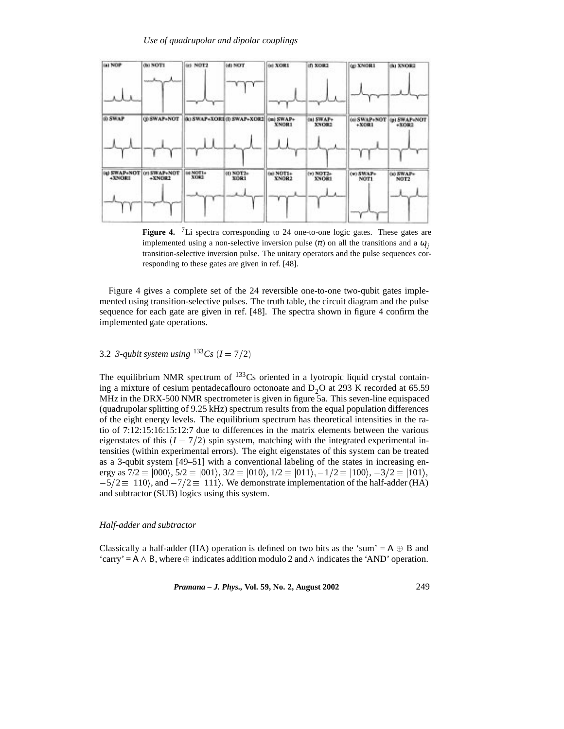

Figure 4. <sup>7</sup>Li spectra corresponding to 24 one-to-one logic gates. These gates are implemented using a non-selective inversion pulse  $(\pi)$  on all the transitions and a  $\omega_i$ transition-selective inversion pulse. The unitary operators and the pulse sequences corresponding to these gates are given in ref. [48].

Figure 4 gives a complete set of the 24 reversible one-to-one two-qubit gates implemented using transition-selective pulses. The truth table, the circuit diagram and the pulse sequence for each gate are given in ref. [48]. The spectra shown in figure 4 confirm the implemented gate operations.

# 3.2 *3-qubit system using*  $^{133}Cs$  ( $I = 7/2$ )

The equilibrium NMR spectrum of  $133Cs$  oriented in a lyotropic liquid crystal containing a mixture of cesium pentadecaflouro octonoate and  $D_2O$  at 293 K recorded at 65.59 MHz in the DRX-500 NMR spectrometer is given in figure 5a. This seven-line equispaced (quadrupolar splitting of 9.25 kHz) spectrum results from the equal population differences of the eight energy levels. The equilibrium spectrum has theoretical intensities in the ratio of 7:12:15:16:15:12:7 due to differences in the matrix elements between the various eigenstates of this  $(I = 7/2)$  spin system, matching with the integrated experimental intensities (within experimental errors). The eight eigenstates of this system can be treated as a 3-qubit system [49–51] with a conventional labeling of the states in increasing energy as  $7/2 \equiv |000\rangle$ ,  $5/2 \equiv |001\rangle$ ,  $3/2 \equiv |010\rangle$ ,  $1/2 \equiv |011\rangle$ ,  $-1/2 \equiv |100\rangle$ ,  $-3/2 \equiv |101\rangle$ ,  $-5/2 \equiv |110\rangle$ , and  $-7/2 \equiv |111\rangle$ . We demonstrate implementation of the half-adder (HA) and subtractor (SUB) logics using this system.

### *Half-adder and subtractor*

Classically a half-adder (HA) operation is defined on two bits as the 'sum' =  $A \oplus B$  and 'carry' =  $A \wedge B$ , where  $\oplus$  indicates addition modulo 2 and  $\wedge$  indicates the 'AND' operation.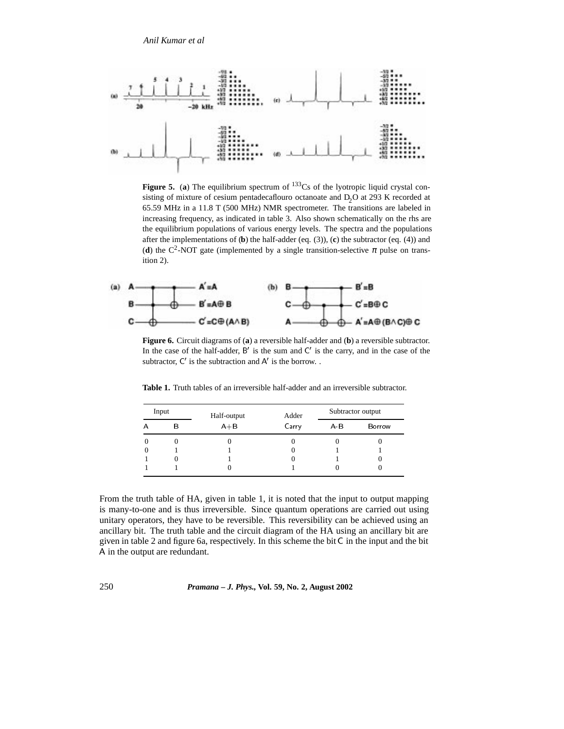*Anil Kumar et al*



**Figure 5.** (a) The equilibrium spectrum of  $133Cs$  of the lyotropic liquid crystal consisting of mixture of cesium pentadecaflouro octanoate and D<sub>2</sub>O at 293 K recorded at 65.59 MHz in a 11.8 T (500 MHz) NMR spectrometer. The transitions are labeled in increasing frequency, as indicated in table 3. Also shown schematically on the rhs are the equilibrium populations of various energy levels. The spectra and the populations after the implementations of (**b**) the half-adder (eq. (3)), (**c**) the subtractor (eq. (4)) and (**d**) the C<sup>2</sup>-NOT gate (implemented by a single transition-selective  $\pi$  pulse on transition 2).



**Figure 6.** Circuit diagrams of (**a**) a reversible half-adder and (**b**) a reversible subtractor. In the case of the half-adder,  $B'$  is the sum and  $C'$  is the carry, and in the case of the subtractor,  $C'$  is the subtraction and  $A'$  is the borrow..

| Input |   | Half-output | Adder | Subtractor output |        |
|-------|---|-------------|-------|-------------------|--------|
| А     | В | $A + B$     | Carry | $A-B$             | Borrow |
|       |   |             |       |                   |        |
|       |   |             |       |                   |        |
|       |   |             |       |                   |        |
|       |   |             |       |                   |        |

**Table 1.** Truth tables of an irreversible half-adder and an irreversible subtractor.

From the truth table of HA, given in table 1, it is noted that the input to output mapping is many-to-one and is thus irreversible. Since quantum operations are carried out using unitary operators, they have to be reversible. This reversibility can be achieved using an ancillary bit. The truth table and the circuit diagram of the HA using an ancillary bit are given in table 2 and figure 6a, respectively. In this scheme the bit C in the input and the bit A in the output are redundant.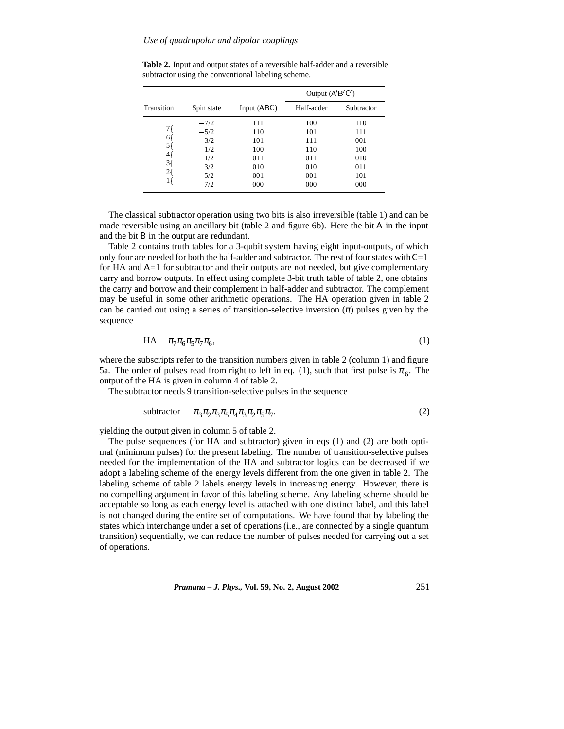|            |            |             | Output $(A'B'C')$ |            |  |
|------------|------------|-------------|-------------------|------------|--|
| Transition | Spin state | Input (ABC) | Half-adder        | Subtractor |  |
|            | $-7/2$     | 111         | 100               | 110        |  |
| 7{         | $-5/2$     | 110         | 101               | 111        |  |
| 6{<br>5{   | $-3/2$     | 101         | 111               | 001        |  |
|            | $-1/2$     | 100         | 110               | 100        |  |
| 4{         | 1/2        | 011         | 011               | 010        |  |
| 3{         | 3/2        | 010         | 010               | 011        |  |
| 2{         | 5/2        | 001         | 001               | 101        |  |
| 1 {        | 7/2        | 000         | 000               | 000        |  |
|            |            |             |                   |            |  |

**Table 2.** Input and output states of a reversible half-adder and a reversible subtractor using the conventional labeling scheme.

The classical subtractor operation using two bits is also irreversible (table 1) and can be made reversible using an ancillary bit (table 2 and figure 6b). Here the bit A in the input and the bit B in the output are redundant.

Table 2 contains truth tables for a 3-qubit system having eight input-outputs, of which only four are needed for both the half-adder and subtractor. The rest of four states with  $C=1$ for HA and A=1 for subtractor and their outputs are not needed, but give complementary carry and borrow outputs. In effect using complete 3-bit truth table of table 2, one obtains the carry and borrow and their complement in half-adder and subtractor. The complement may be useful in some other arithmetic operations. The HA operation given in table 2 can be carried out using a series of transition-selective inversion  $(\pi)$  pulses given by the sequence

$$
HA = \pi_7 \pi_6 \pi_5 \pi_7 \pi_6,
$$
\n<sup>(1)</sup>

where the subscripts refer to the transition numbers given in table 2 (column 1) and figure 5a. The order of pulses read from right to left in eq. (1), such that first pulse is  $\pi_{6}$ . The output of the HA is given in column 4 of table 2.

The subtractor needs 9 transition-selective pulses in the sequence

$$
subtractor = \pi_3 \pi_2 \pi_3 \pi_5 \pi_4 \pi_3 \pi_2 \pi_5 \pi_7,
$$
\n(2)

yielding the output given in column 5 of table 2.

The pulse sequences (for HA and subtractor) given in eqs (1) and (2) are both optimal (minimum pulses) for the present labeling. The number of transition-selective pulses needed for the implementation of the HA and subtractor logics can be decreased if we adopt a labeling scheme of the energy levels different from the one given in table 2. The labeling scheme of table 2 labels energy levels in increasing energy. However, there is no compelling argument in favor of this labeling scheme. Any labeling scheme should be acceptable so long as each energy level is attached with one distinct label, and this label is not changed during the entire set of computations. We have found that by labeling the states which interchange under a set of operations (i.e., are connected by a single quantum transition) sequentially, we can reduce the number of pulses needed for carrying out a set of operations.

*Pramana – J. Phys.,* **Vol. 59, No. 2, August 2002** 251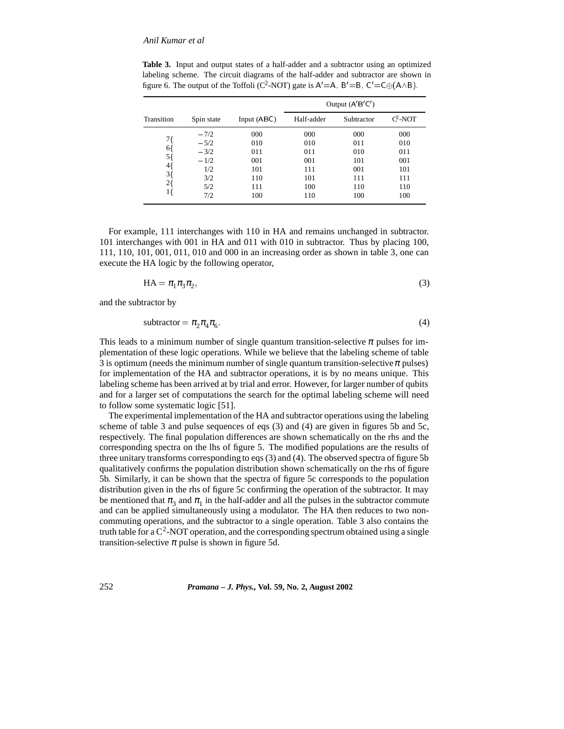**Table 3.** Input and output states of a half-adder and a subtractor using an optimized labeling scheme. The circuit diagrams of the half-adder and subtractor are shown in figure 6. The output of the Toffoli (C<sup>2</sup>-NOT) gate is  $A' = A$ ,  $B' = B$ ,  $C' = C \oplus (A \wedge B)$ .

|                |            |               | Output $(A'B'C')$ |            |            |  |
|----------------|------------|---------------|-------------------|------------|------------|--|
| Transition     | Spin state | Input $(ABC)$ | Half-adder        | Subtractor | $C^2$ -NOT |  |
|                | $-7/2$     | 000           | 000               | 000        | 000        |  |
| 71             | $-5/2$     | 010           | 010               | 011        | 010        |  |
| 6{             | $-3/2$     | 011           | 011               | 010        | 011        |  |
| 5{             | $-1/2$     | 001           | 001               | 101        | 001        |  |
| 4{             | 1/2        | 101           | 111               | 001        | 101        |  |
| $3\frac{1}{2}$ | 3/2        | 110           | 101               | 111        | 111        |  |
| $2\{$          | 5/2        | 111           | 100               | 110        | 110        |  |
| 1 {            | 7/2        | 100           | 110               | 100        | 100        |  |

For example, 111 interchanges with 110 in HA and remains unchanged in subtractor. 101 interchanges with 001 in HA and 011 with 010 in subtractor. Thus by placing 100, 111, 110, 101, 001, 011, 010 and 000 in an increasing order as shown in table 3, one can execute the HA logic by the following operator,

$$
HA = \pi_1 \pi_3 \pi_2,\tag{3}
$$

and the subtractor by

$$
subtractor = \pi_2 \pi_4 \pi_6. \tag{4}
$$

This leads to a minimum number of single quantum transition-selective  $\pi$  pulses for implementation of these logic operations. While we believe that the labeling scheme of table 3 is optimum (needs the minimum number of single quantum transition-selective  $\pi$  pulses) for implementation of the HA and subtractor operations, it is by no means unique. This labeling scheme has been arrived at by trial and error. However, for larger number of qubits and for a larger set of computations the search for the optimal labeling scheme will need to follow some systematic logic [51].

The experimental implementation of the HA and subtractor operations using the labeling scheme of table 3 and pulse sequences of eqs (3) and (4) are given in figures 5b and 5c, respectively. The final population differences are shown schematically on the rhs and the corresponding spectra on the lhs of figure 5. The modified populations are the results of three unitary transforms corresponding to eqs (3) and (4). The observed spectra of figure 5b qualitatively confirms the population distribution shown schematically on the rhs of figure 5b. Similarly, it can be shown that the spectra of figure 5c corresponds to the population distribution given in the rhs of figure 5c confirming the operation of the subtractor. It may be mentioned that  $\pi_3$  and  $\pi_1$  in the half-adder and all the pulses in the subtractor commute and can be applied simultaneously using a modulator. The HA then reduces to two noncommuting operations, and the subtractor to a single operation. Table 3 also contains the truth table for a  $C^2$ -NOT operation, and the corresponding spectrum obtained using a single transition-selective  $\pi$  pulse is shown in figure 5d.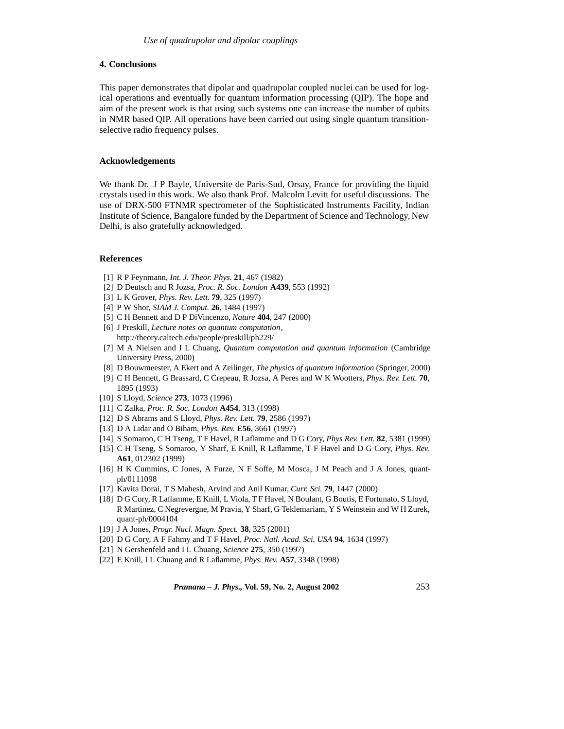### **4. Conclusions**

This paper demonstrates that dipolar and quadrupolar coupled nuclei can be used for logical operations and eventually for quantum information processing (QIP). The hope and aim of the present work is that using such systems one can increase the number of qubits in NMR based QIP. All operations have been carried out using single quantum transitionselective radio frequency pulses.

### **Acknowledgements**

We thank Dr. J P Bayle, Universite de Paris-Sud, Orsay, France for providing the liquid crystals used in this work. We also thank Prof. Malcolm Levitt for useful discussions. The use of DRX-500 FTNMR spectrometer of the Sophisticated Instruments Facility, Indian Institute of Science, Bangalore funded by the Department of Science and Technology, New Delhi, is also gratefully acknowledged.

### **References**

- [1] R P Feynmann, *Int. J. Theor. Phys.* **21**, 467 (1982)
- [2] D Deutsch and R Jozsa, *Proc. R. Soc. London* **A439**, 553 (1992)
- [3] L K Grover, *Phys. Rev. Lett.* **79**, 325 (1997)
- [4] P W Shor, *SIAM J. Comput.* **26**, 1484 (1997)
- [5] C H Bennett and D P DiVincenzo, *Nature* **404**, 247 (2000)
- [6] J Preskill, *Lecture notes on quantum computation*, http://theory.caltech.edu/people/preskill/ph229/
- [7] M A Nielsen and I L Chuang, *Quantum computation and quantum information* (Cambridge University Press, 2000)
- [8] D Bouwmeester, A Ekert and A Zeilinger, *The physics of quantum information* (Springer, 2000)
- [9] C H Bennett, G Brassard, C Crepeau, R Jozsa, A Peres and W K Wootters, *Phys. Rev. Lett.* **70**, 1895 (1993)
- [10] S Lloyd, *Science* **273**, 1073 (1996)
- [11] C Zalka, *Proc. R. Soc. London* **A454**, 313 (1998)
- [12] D S Abrams and S Lloyd, *Phys. Rev. Lett.* **79**, 2586 (1997)
- [13] D A Lidar and O Biham, *Phys. Rev.* **E56**, 3661 (1997)
- [14] S Somaroo, C H Tseng, T F Havel, R Laflamme and D G Cory, *Phys Rev. Lett.* **82**, 5381 (1999)
- [15] C H Tseng, S Somaroo, Y Sharf, E Knill, R Laflamme, T F Havel and D G Cory, *Phys. Rev.* **A61**, 012302 (1999)
- [16] H K Cummins, C Jones, A Furze, N F Soffe, M Mosca, J M Peach and J A Jones, quantph/0111098
- [17] Kavita Dorai, T S Mahesh, Arvind and Anil Kumar, *Curr. Sci.* **79**, 1447 (2000)
- [18] D G Cory, R Laflamme, E Knill, L Viola, T F Havel, N Boulant, G Boutis, E Fortunato, S Lloyd, R Martinez, C Negrevergne, M Pravia, Y Sharf, G Teklemariam, Y S Weinstein and W H Zurek, quant-ph/0004104
- [19] J A Jones, *Progr. Nucl. Magn. Spect.* **38**, 325 (2001)
- [20] D G Cory, A F Fahmy and T F Havel, *Proc. Natl. Acad. Sci. USA* **94**, 1634 (1997)
- [21] N Gershenfeld and I L Chuang, *Science* **275**, 350 (1997)
- [22] E Knill, I L Chuang and R Laflamme, *Phys. Rev.* **A57**, 3348 (1998)